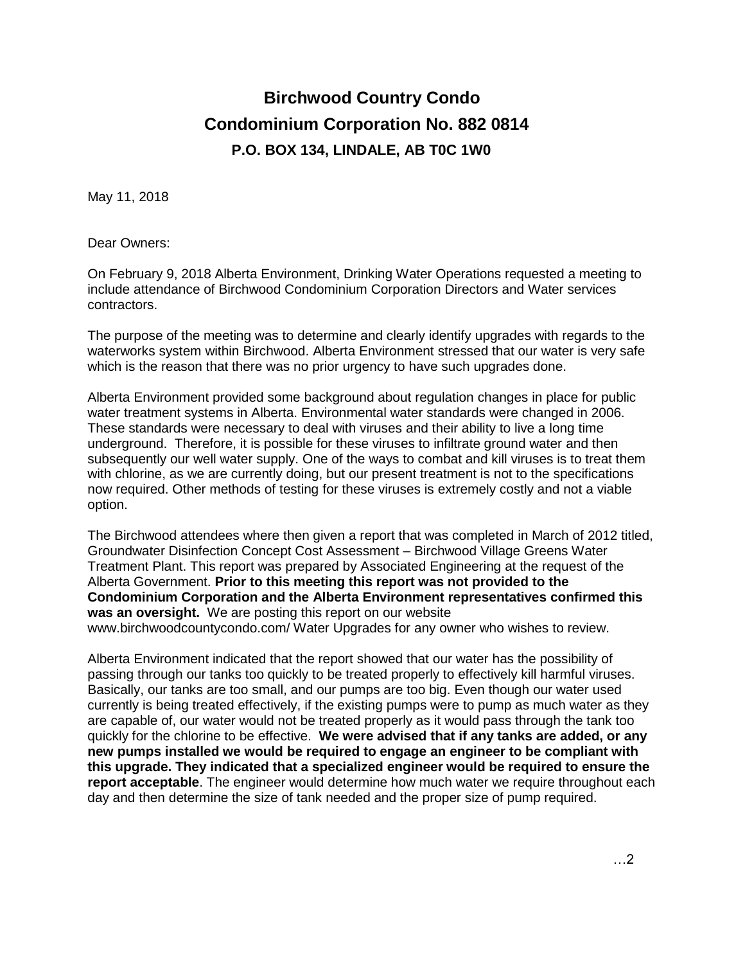## **Birchwood Country Condo Condominium Corporation No. 882 0814 P.O. BOX 134, LINDALE, AB T0C 1W0**

May 11, 2018

Dear Owners:

On February 9, 2018 Alberta Environment, Drinking Water Operations requested a meeting to include attendance of Birchwood Condominium Corporation Directors and Water services contractors.

The purpose of the meeting was to determine and clearly identify upgrades with regards to the waterworks system within Birchwood. Alberta Environment stressed that our water is very safe which is the reason that there was no prior urgency to have such upgrades done.

Alberta Environment provided some background about regulation changes in place for public water treatment systems in Alberta. Environmental water standards were changed in 2006. These standards were necessary to deal with viruses and their ability to live a long time underground. Therefore, it is possible for these viruses to infiltrate ground water and then subsequently our well water supply. One of the ways to combat and kill viruses is to treat them with chlorine, as we are currently doing, but our present treatment is not to the specifications now required. Other methods of testing for these viruses is extremely costly and not a viable option.

The Birchwood attendees where then given a report that was completed in March of 2012 titled, Groundwater Disinfection Concept Cost Assessment – Birchwood Village Greens Water Treatment Plant. This report was prepared by Associated Engineering at the request of the Alberta Government. **Prior to this meeting this report was not provided to the Condominium Corporation and the Alberta Environment representatives confirmed this was an oversight.** We are posting this report on our website www.birchwoodcountycondo.com/ Water Upgrades for any owner who wishes to review.

Alberta Environment indicated that the report showed that our water has the possibility of passing through our tanks too quickly to be treated properly to effectively kill harmful viruses. Basically, our tanks are too small, and our pumps are too big. Even though our water used currently is being treated effectively, if the existing pumps were to pump as much water as they are capable of, our water would not be treated properly as it would pass through the tank too quickly for the chlorine to be effective. **We were advised that if any tanks are added, or any new pumps installed we would be required to engage an engineer to be compliant with this upgrade. They indicated that a specialized engineer would be required to ensure the report acceptable**. The engineer would determine how much water we require throughout each day and then determine the size of tank needed and the proper size of pump required.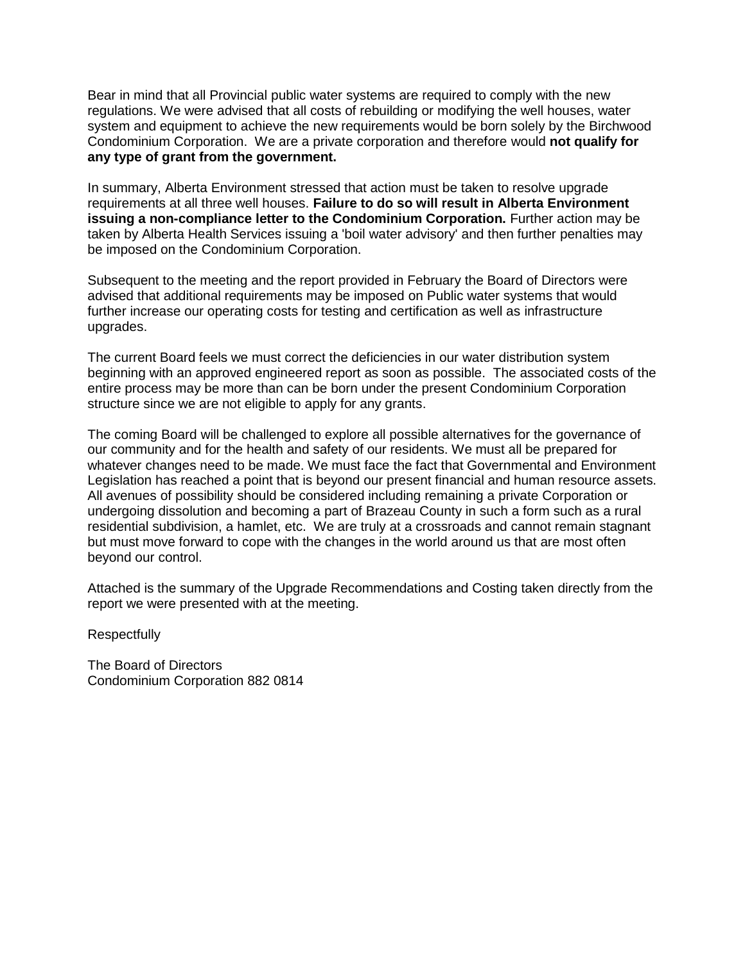Bear in mind that all Provincial public water systems are required to comply with the new regulations. We were advised that all costs of rebuilding or modifying the well houses, water system and equipment to achieve the new requirements would be born solely by the Birchwood Condominium Corporation. We are a private corporation and therefore would **not qualify for any type of grant from the government.**

In summary, Alberta Environment stressed that action must be taken to resolve upgrade requirements at all three well houses. **Failure to do so will result in Alberta Environment issuing a non-compliance letter to the Condominium Corporation.** Further action may be taken by Alberta Health Services issuing a 'boil water advisory' and then further penalties may be imposed on the Condominium Corporation.

Subsequent to the meeting and the report provided in February the Board of Directors were advised that additional requirements may be imposed on Public water systems that would further increase our operating costs for testing and certification as well as infrastructure upgrades.

The current Board feels we must correct the deficiencies in our water distribution system beginning with an approved engineered report as soon as possible. The associated costs of the entire process may be more than can be born under the present Condominium Corporation structure since we are not eligible to apply for any grants.

The coming Board will be challenged to explore all possible alternatives for the governance of our community and for the health and safety of our residents. We must all be prepared for whatever changes need to be made. We must face the fact that Governmental and Environment Legislation has reached a point that is beyond our present financial and human resource assets. All avenues of possibility should be considered including remaining a private Corporation or undergoing dissolution and becoming a part of Brazeau County in such a form such as a rural residential subdivision, a hamlet, etc. We are truly at a crossroads and cannot remain stagnant but must move forward to cope with the changes in the world around us that are most often beyond our control.

Attached is the summary of the Upgrade Recommendations and Costing taken directly from the report we were presented with at the meeting.

**Respectfully** 

The Board of Directors Condominium Corporation 882 0814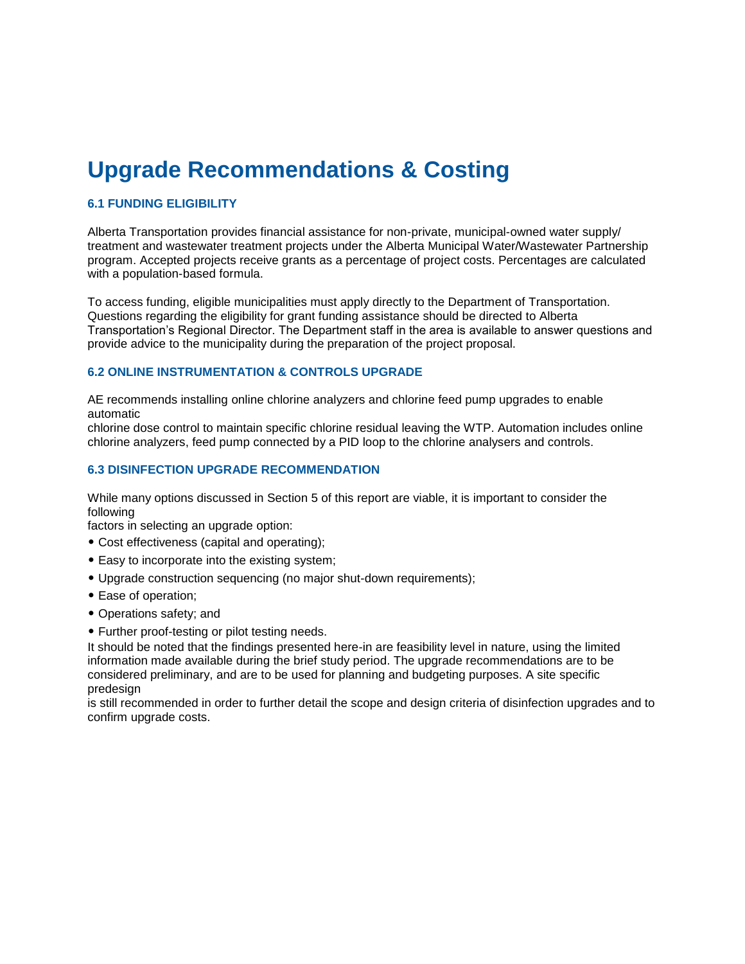## **Upgrade Recommendations & Costing**

#### **6.1 FUNDING ELIGIBILITY**

Alberta Transportation provides financial assistance for non-private, municipal-owned water supply/ treatment and wastewater treatment projects under the Alberta Municipal Water/Wastewater Partnership program. Accepted projects receive grants as a percentage of project costs. Percentages are calculated with a population-based formula.

To access funding, eligible municipalities must apply directly to the Department of Transportation. Questions regarding the eligibility for grant funding assistance should be directed to Alberta Transportation's Regional Director. The Department staff in the area is available to answer questions and provide advice to the municipality during the preparation of the project proposal.

#### **6.2 ONLINE INSTRUMENTATION & CONTROLS UPGRADE**

AE recommends installing online chlorine analyzers and chlorine feed pump upgrades to enable automatic

chlorine dose control to maintain specific chlorine residual leaving the WTP. Automation includes online chlorine analyzers, feed pump connected by a PID loop to the chlorine analysers and controls.

#### **6.3 DISINFECTION UPGRADE RECOMMENDATION**

While many options discussed in Section 5 of this report are viable, it is important to consider the following

factors in selecting an upgrade option:

- Cost effectiveness (capital and operating);
- Easy to incorporate into the existing system;
- Upgrade construction sequencing (no major shut-down requirements);
- Ease of operation;
- Operations safety; and
- Further proof-testing or pilot testing needs.

It should be noted that the findings presented here-in are feasibility level in nature, using the limited information made available during the brief study period. The upgrade recommendations are to be considered preliminary, and are to be used for planning and budgeting purposes. A site specific predesign

is still recommended in order to further detail the scope and design criteria of disinfection upgrades and to confirm upgrade costs.